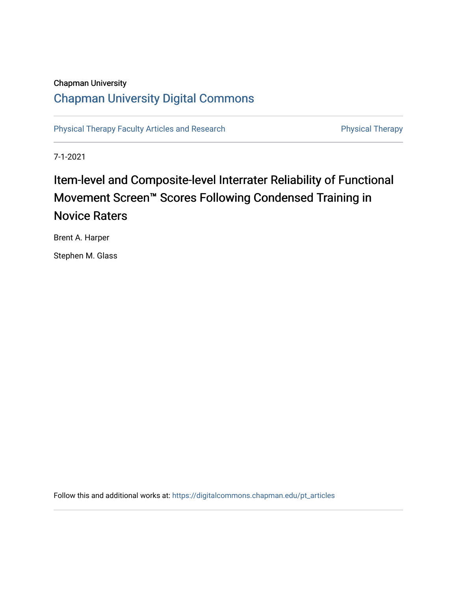# **Chapman University**

# **Chapman University Digital Commons**

**Physical Therapy Faculty Articles and Research** 

**Physical Therapy** 

 $7 - 1 - 2021$ 

# Item-level and Composite-level Interrater Reliability of Functional Movement Screen™ Scores Following Condensed Training in **Novice Raters**

Brent A. Harper

Stephen M. Glass

Follow this and additional works at: https://digitalcommons.chapman.edu/pt\_articles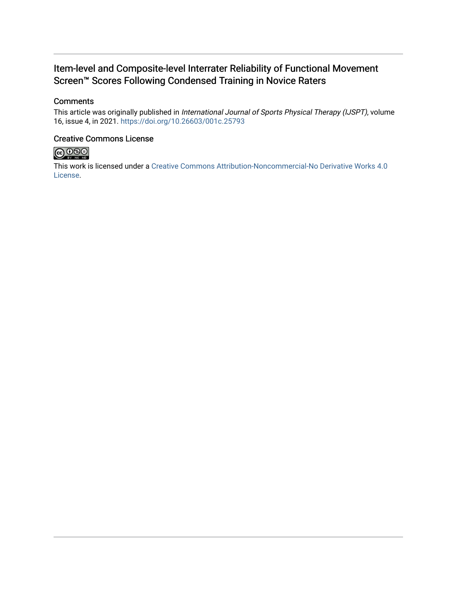# Item-level and Composite-level Interrater Reliability of Functional Movement Screen<sup>™</sup> Scores Following Condensed Training in Novice Raters

### **Comments**

This article was originally published in International Journal of Sports Physical Therapy (IJSPT), volume 16, issue 4, in 2021. https://doi.org/10.26603/001c.25793

### **Creative Commons License**



This work is licensed under a Creative Commons Attribution-Noncommercial-No Derivative Works 4.0 License.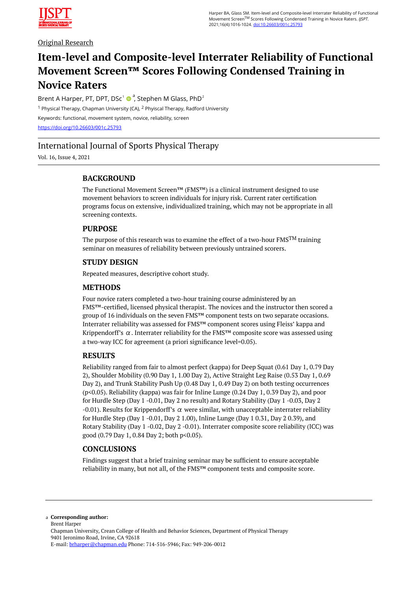

Original Research

# **Item-level and Composite-level Interrater Reliability of Functional Movement Screen™ Scores Following Condensed Training in Novice Raters**

Brent A Harper, PT, DPT, DSc<sup>1</sup>  $\bullet$ , Stephen M Glass, PhD<sup>2</sup> <sup>1</sup> Physical Therapy, Chapman University (CA), <sup>2</sup> Phyiscal Therapy, Radford University Keywords: functional, movement system, novice, reliability, screen <https://doi.org/10.26603/001c.25793>

## International Journal of Sports Physical Therapy

Vol. 16, Issue 4, 2021

### **BACKGROUND**

The Functional Movement Screen™ (FMS™) is a clinical instrument designed to use movement behaviors to screen individuals for injury risk. Current rater certification programs focus on extensive, individualized training, which may not be appropriate in all screening contexts.

#### **PURPOSE**

The purpose of this research was to examine the effect of a two-hour  $FMS^{TM}$  training seminar on measures of reliability between previously untrained scorers.

#### **STUDY DESIGN**

Repeated measures, descriptive cohort study.

#### **METHODS**

Four novice raters completed a two-hour training course administered by an FMS™-certified, licensed physical therapist. The novices and the instructor then scored a group of 16 individuals on the seven FMS™ component tests on two separate occasions. Interrater reliability was assessed for FMS™ component scores using Fleiss' kappa and Krippendorff's  $\alpha$ . Interrater reliability for the FMS<sup>™</sup> composite score was assessed using a two-way ICC for agreement (a priori significance level=0.05).

#### **RESULTS**

Reliability ranged from fair to almost perfect (kappa) for Deep Squat (0.61 Day 1, 0.79 Day 2), Shoulder Mobility (0.90 Day 1, 1.00 Day 2), Active Straight Leg Raise (0.53 Day 1, 0.69 Day 2), and Trunk Stability Push Up (0.48 Day 1, 0.49 Day 2) on both testing occurrences (p<0.05). Reliability (kappa) was fair for Inline Lunge (0.24 Day 1, 0.39 Day 2), and poor for Hurdle Step (Day 1 -0.01, Day 2 no result) and Rotary Stability (Day 1 -0.03, Day 2 -0.01). Results for Krippendorff's  $\alpha$  were similar, with unacceptable interrater reliability for Hurdle Step (Day 1 -0.01, Day 2 1.00), Inline Lunge (Day 1 0.31, Day 2 0.39), and Rotary Stability (Day 1 -0.02, Day 2 -0.01). Interrater composite score reliability (ICC) was good (0.79 Day 1, 0.84 Day 2; both p<0.05).

#### **CONCLUSIONS**

Findings suggest that a brief training seminar may be sufficient to ensure acceptable reliability in many, but not all, of the FMS™ component tests and composite score.

**Corresponding author:**  a Brent Harper Chapman University, Crean College of Health and Behavior Sciences, Department of Physical Therapy 9401 Jeronimo Road, Irvine, CA 92618 E-mail: [brharper@chapman.edu](mailto:brharper@chapman.edu) Phone: 714-516-5946; Fax: 949-206-0012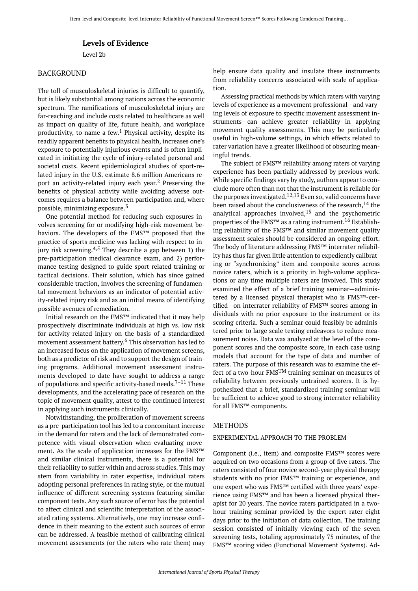#### **Levels of Evidence**

Level 2b

#### BACKGROUND

The toll of musculoskeletal injuries is difficult to quantify, but is likely substantial among nations across the economic spectrum. The ramifications of musculoskeletal injury are far-reaching and include costs related to healthcare as well as impact on quality of life, future health, and workplace productivity, to name a few. <sup>1</sup> Physical activity, despite its readily apparent benefits to physical health, increases one's exposure to potentially injurious events and is often implicated in initiating the cycle of injury-related personal and societal costs. Recent epidemiological studies of sport-related injury in the U.S. estimate 8.6 million Americans report an activity-related injury each year. <sup>2</sup> Preserving the benefits of physical activity while avoiding adverse outcomes requires a balance between participation and, where possible, minimizing exposure.<sup>3</sup>

One potential method for reducing such exposures involves screening for or modifying high-risk movement behaviors. The developers of the FMS™ proposed that the practice of sports medicine was lacking with respect to injury risk screening.<sup>4,5</sup> They describe a gap between 1) the pre-participation medical clearance exam, and 2) performance testing designed to guide sport-related training or tactical decisions. Their solution, which has since gained considerable traction, involves the screening of fundamental movement behaviors as an indicator of potential activity-related injury risk and as an initial means of identifying possible avenues of remediation.

Initial research on the FMS™ indicated that it may help prospectively discriminate individuals at high vs. low risk for activity-related injury on the basis of a standardized movement assessment battery. <sup>6</sup> This observation has led to an increased focus on the application of movement screens, both as a predictor of risk and to support the design of training programs. Additional movement assessment instruments developed to date have sought to address a range of populations and specific activity-based needs.<sup>7–11</sup> These developments, and the accelerating pace of research on the topic of movement quality, attest to the continued interest in applying such instruments clinically.

Notwithstanding, the proliferation of movement screens as a pre-participation tool has led to a concomitant increase in the demand for raters and the lack of demonstrated competence with visual observation when evaluating movement. As the scale of application increases for the FMS™ and similar clinical instruments, there is a potential for their reliability to suffer within and across studies. This may stem from variability in rater expertise, individual raters adopting personal preferences in rating style, or the mutual influence of different screening systems featuring similar component tests. Any such source of error has the potential to affect clinical and scientific interpretation of the associated rating systems. Alternatively, one may increase confidence in their meaning to the extent such sources of error can be addressed. A feasible method of calibrating clinical movement assessments (or the raters who rate them) may

help ensure data quality and insulate these instruments from reliability concerns associated with scale of application.

Assessing practical methods by which raters with varying levels of experience as a movement professional—and varying levels of exposure to specific movement assessment instruments—can achieve greater reliability in applying movement quality assessments. This may be particularly useful in high-volume settings, in which effects related to rater variation have a greater likelihood of obscuring meaningful trends.

The subject of FMS™ reliability among raters of varying experience has been partially addressed by previous work. While specific findings vary by study, authors appear to conclude more often than not that the instrument is reliable for the purposes investigated.<sup>12,13</sup> Even so, valid concerns have been raised about the conclusiveness of the research,  $14$  the analytical approaches involved, $15$  and the psychometric properties of the FMS<sup>™</sup> as a rating instrument.<sup>16</sup> Establishing reliability of the FMS™ and similar movement quality assessment scales should be considered an ongoing effort. The body of literature addressing FMS™ interrater reliability has thus far given little attention to expediently calibrating or "synchronizing" item and composite scores across novice raters, which is a priority in high-volume applications or any time multiple raters are involved. This study examined the effect of a brief training seminar—administered by a licensed physical therapist who is FMS™-certified—on interrater reliability of FMS™ scores among individuals with no prior exposure to the instrument or its scoring criteria. Such a seminar could feasibly be administered prior to large scale testing endeavors to reduce measurement noise. Data was analyzed at the level of the component scores and the composite score, in each case using models that account for the type of data and number of raters. The purpose of this research was to examine the effect of a two-hour FMSTM training seminar on measures of reliability between previously untrained scorers. It is hypothesized that a brief, standardized training seminar will be sufficient to achieve good to strong interrater reliability for all FMS™ components.

#### METHODS

#### EXPERIMENTAL APPROACH TO THE PROBLEM

Component (i.e., item) and composite FMS™ scores were acquired on two occasions from a group of five raters. The raters consisted of four novice second-year physical therapy students with no prior FMS™ training or experience, and one expert who was FMS™ certified with three years' experience using FMS™ and has been a licensed physical therapist for 20 years. The novice raters participated in a twohour training seminar provided by the expert rater eight days prior to the initiation of data collection. The training session consisted of initially viewing each of the seven screening tests, totaling approximately 75 minutes, of the FMS™ scoring video (Functional Movement Systems). Ad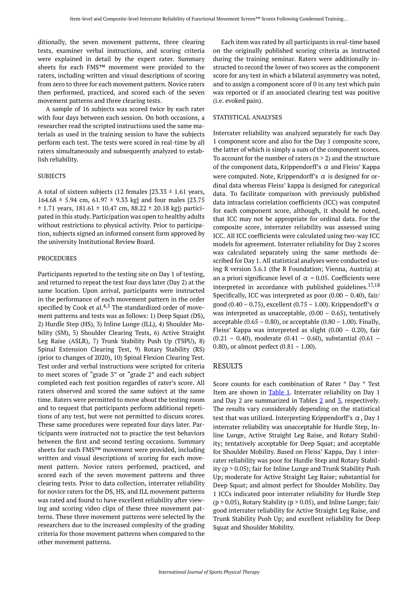ditionally, the seven movement patterns, three clearing tests, examiner verbal instructions, and scoring criteria were explained in detail by the expert rater. Summary sheets for each FMS™ movement were provided to the raters, including written and visual descriptions of scoring from zero to three for each movement pattern. Novice raters then performed, practiced, and scored each of the seven movement patterns and three clearing tests.

A sample of 16 subjects was scored twice by each rater with four days between each session. On both occasions, a researcher read the scripted instructions used the same materials as used in the training session to have the subjects perform each test. The tests were scored in real-time by all raters simultaneously and subsequently analyzed to establish reliability.

#### SUBJECTS

A total of sixteen subjects (12 females  $[23.33 \pm 1.61]$  years, 164.68  $\pm$  5.94 cm, 61.97  $\pm$  9.33 kg] and four males [23.75  $\pm$  1.71 years, 181.61  $\pm$  10.47 cm, 88.22  $\pm$  20.18 kg]) participated in this study. Participation was open to healthy adults without restrictions to physical activity. Prior to participation, subjects signed an informed consent form approved by the university Institutional Review Board.

#### PROCEDURES

Participants reported to the testing site on Day 1 of testing, and returned to repeat the test four days later (Day 2) at the same location. Upon arrival, participants were instructed in the performance of each movement pattern in the order specified by Cook et al. $4,5$  The standardized order of movement patterns and tests was as follows: 1) Deep Squat (DS), 2) Hurdle Step (HS), 3) Inline Lunge (ILL), 4) Shoulder Mobility (SM), 5) Shoulder Clearing Tests, 6) Active Straight Leg Raise (ASLR), 7) Trunk Stability Push Up (TSPU), 8) Spinal Extension Clearing Test, 9) Rotary Stability (RS) (prior to changes of 2020), 10) Spinal Flexion Clearing Test. Test order and verbal instructions were scripted for criteria to meet scores of "grade 3" or "grade 2" and each subject completed each test position regardles of rater's score. All raters observed and scored the same subject at the same time. Raters were permitted to move about the testing room and to request that participants perform additional repetitions of any test, but were not permitted to discuss scores. These same procedures were repeated four days later. Participants were instructed not to practice the test behaviors between the first and second testing occasions. Summary sheets for each FMS™ movement were provided, including written and visual descriptions of scoring for each movement pattern. Novice raters performed, practiced, and scored each of the seven movement patterns and three clearing tests. Prior to data collection, interrater reliability for novice raters for the DS, HS, and ILL movement patterns was rated and found to have excellent reliability after viewing and scoring video clips of these three movement patterns. These three movement patterns were selected by the researchers due to the increased complexity of the grading criteria for those movement patterns when compared to the other movement patterns.

Each item was rated by all participants in real-time based on the originally published scoring criteria as instructed during the training seminar. Raters were additionally instructed to record the lower of two scores as the component score for any test in which a bilateral asymmetry was noted, and to assign a component score of 0 in any test which pain was reported or if an associated clearing test was positive (i.e. evoked pain).

#### STATISTICAL ANALYSES

Interrater reliability was analyzed separately for each Day 1 component score and also for the Day 1 composite score, the latter of which is simply a sum of the component scores. To account for the number of raters ( $n > 2$ ) and the structure of the component data, Krippendorff's  $\alpha$  and Fleiss' Kappa were computed. Note, Krippendorff's  $\alpha$  is designed for ordinal data whereas Fleiss' kappa is designed for categorical data. To facilitate comparison with previously published data intraclass correlation coefficients (ICC) was computed for each component score, although, it should be noted, that ICC may not be appropriate for ordinal data. For the composite score, interrater reliability was assessed using ICC. All ICC coefficients were calculated using two-way ICC models for agreement. Interrater reliability for Day 2 scores was calculated separately using the same methods described for Day 1. All statistical analyses were conducted using R version 3.6.1 (the R Foundation; Vienna, Austria) at an a priori significance level of  $\alpha$  = 0.05. Coefficients were interpreted in accordance with published guidelines. $17,18$ Specifically, ICC was interpreted as poor  $(0.00 - 0.40)$ , fair/ good (0.40 – 0.75), excellent (0.75 – 1.00). Krippendorff's  $\alpha$ was interpreted as unacceptable,  $(0.00 - 0.65)$ , tentatively acceptable  $(0.65 - 0.80)$ , or acceptable  $(0.80 - 1.00)$ . Finally, Fleiss' Kappa was interpreted as slight (0.00 – 0.20), fair (0.21 – 0.40), moderate (0.41 – 0.60), substantial (0.61 – 0.80), or almost perfect  $(0.81 - 1.00)$ .

#### RESULTS

Score counts for each combination of Rater \* Day \* Test Item are shown in [Table 1.](#page-5-0) Interrater reliability on Day 1 and Day [2](#page-6-0) are summarized in Tables  $2$  and  $3$ , respectively. The results vary considerably depending on the statistical test that was utilized. Interpreting Krippendorff's  $\alpha$ , Day 1 interrater reliability was unacceptable for Hurdle Step, Inline Lunge, Active Straight Leg Raise, and Rotary Stability; tentatively acceptable for Deep Squat; and acceptable for Shoulder Mobility. Based on Fleiss' Kappa, Day 1 interrater reliability was poor for Hurdle Step and Rotary Stability (p > 0.05); fair for Inline Lunge and Trunk Stability Push Up; moderate for Active Straight Leg Raise; substantial for Deep Squat; and almost perfect for Shoulder Mobility. Day 1 ICCs indicated poor interrater reliability for Hurdle Step  $(p > 0.05)$ , Rotary Stability ( $p > 0.05$ ), and Inline Lunge; fair/ good interrater reliability for Active Straight Leg Raise, and Trunk Stability Push Up; and excellent reliability for Deep Squat and Shoulder Mobility.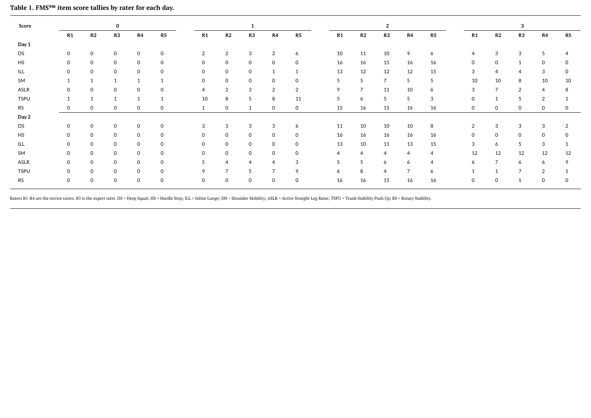| Score       |              |              | 0           |                |              |              |                |                |                     |                |    |                | 2              |                |                |          |                | 3              |                |    |
|-------------|--------------|--------------|-------------|----------------|--------------|--------------|----------------|----------------|---------------------|----------------|----|----------------|----------------|----------------|----------------|----------|----------------|----------------|----------------|----|
|             | R1           | R2           | R3          | R4             | R5           | R1           | R2             | R3             | R4                  | R5             | R1 | R2             | R3             | R4             | R5             | R1       | R2             | R <sub>3</sub> | R4             | R5 |
| Day 1       |              |              |             |                |              |              |                |                |                     |                |    |                |                |                |                |          |                |                |                |    |
| DS          | $\mathbf{0}$ | 0            | $\mathbf 0$ | $\mathbf 0$    | $\Omega$     | 2            | $\overline{2}$ | 3              | 2                   | 6              | 10 | 11             | 10             | 9              | 6              | 4        | 3              | 3              | 5              | 4  |
| <b>HS</b>   | $\mathbf 0$  | $\mathbf 0$  | $\mathbf 0$ | $\mathbf 0$    | $\Omega$     | $\mathbf 0$  | $\mathbf{O}$   | $\mathbf{0}$   | $\mathbf 0$         | $\mathbf{O}$   | 16 | 16             | 15             | 16             | 16             | $\Omega$ | $\mathbf 0$    | $\mathbf{1}$   | $\mathbf{0}$   | 0  |
| ILL         | $\mathbf 0$  | $\mathbf 0$  | $\mathbf 0$ | $\mathbf 0$    | $\Omega$     | $\circ$      | $\mathbf 0$    | 0              | $\mathbf{1}$        |                | 13 | 12             | 12             | 12             | 15             | 3        | $\overline{4}$ | $\overline{4}$ | 3              | 0  |
| SM          |              | $\mathbf{1}$ |             | $\overline{1}$ |              | $\mathsf{O}$ | $\mathsf{O}$   | 0              | $\mathbf 0$         | $\mathbf{O}$   | 5  | 5              | $\overline{7}$ | 5              | 5              | 10       | 10             | 8              | 10             | 10 |
| ASLR        | $\Omega$     | $\mathbf 0$  | $\mathbf 0$ | $\Omega$       | $\Omega$     | 4            | $\overline{2}$ | 3              | 2                   | $\overline{2}$ | 9  | $\overline{7}$ | 11             | 10             | 6              | 3        | $\overline{7}$ | 2              | $\overline{4}$ | 8  |
| <b>TSPU</b> |              | $\mathbf{1}$ |             | $\overline{1}$ |              | 10           | 8              | 5              | 8                   | 11             | 5  | 6              | 5              | 5              | 3              | $\Omega$ |                | 5              | 2              |    |
| <b>RS</b>   | 0            | 0            | $\mathbf 0$ | 0              | 0            | $\mathbf{1}$ | $\mathbf 0$    |                | $\mathbf 0$         | $\mathbf{0}$   | 15 | 16             | 15             | 16             | 16             | 0        | $\mathbf 0$    | $\mathbf 0$    | 0              | 0  |
| Day 2       |              |              |             |                |              |              |                |                |                     |                |    |                |                |                |                |          |                |                |                |    |
| DS          | 0            | 0            | $\mathbf 0$ | $\mathbf 0$    | $\Omega$     | 3            | 3              | 3              | 3                   | 6              | 11 | 10             | 10             | 10             | 8              | 2        | 3              | 3              | 3              | 2  |
| HS          | $\mathbf 0$  | $\mathbf 0$  | $\mathbf 0$ | $\mathsf{O}$   | $\mathbf{O}$ | 0            | $\mathbf 0$    | $\mathsf{O}$   | $\mathsf{O}\xspace$ | $\mathbf{0}$   | 16 | 16             | 16             | 16             | 16             | 0        | $\mathbf 0$    | $\mathbf 0$    | $\mathbf 0$    | 0  |
| ILL.        | 0            | 0            | $\mathbf 0$ | 0              | 0            | 0            | $\mathbf 0$    | 0              | $\mathbf 0$         | $\mathbf 0$    | 13 | 10             | 11             | 13             | 15             | 3        | 6              | 5              | 3              |    |
| SM          | $\mathbf 0$  | $\mathbf 0$  | $\mathbf 0$ | $\mathbf 0$    | 0            | 0            | $\mathsf{O}$   | $\mathsf{O}$   | $\mathbf 0$         | $\mathbf{O}$   | 4  | $\overline{4}$ | $\overline{4}$ | $\overline{4}$ | $\overline{4}$ | 12       | 12             | 12             | 12             | 12 |
| ASLR        | $\mathbf 0$  | 0            | $\mathbf 0$ | 0              | 0            | 5            | $\overline{4}$ | $\overline{4}$ | $\overline{4}$      | 3              | 5  | 5              | 6              | 6              | $\overline{4}$ | 6        | $\overline{7}$ | 6              | 6              | 9  |
| <b>TSPU</b> | 0            | 0            | $\mathbf 0$ | 0              | 0            | 9            | $\overline{7}$ | 5              | $\overline{7}$      | 9              | 6  | 8              | 4              | $\overline{7}$ | 6              |          |                | $\overline{ }$ | 2              |    |
| RS          | $\mathbf 0$  | $\mathsf O$  | $\mathbf 0$ | $\mathbf 0$    | $\mathbf{O}$ | $\mathbf 0$  | $\mathsf{O}$   | 0              | $\mathsf{O}\xspace$ | $\mathbf 0$    | 16 | 16             | 15             | 16             | 16             | 0        | 0              | $\mathbf{1}$   | 0              | 0  |
|             |              |              |             |                |              |              |                |                |                     |                |    |                |                |                |                |          |                |                |                |    |

**Table 1. FMS™ item score tallies by rater for each day.** 

<span id="page-5-0"></span>Raters R1-R4 are the novice raters. R5 is the expert rater. DS = Deep Squat; HS = Hurdle Step; ILL = Inline Lunge; SM = Shoulder Mobility; ASLR = Active Straight Leg Raise; TSPU = Trunk Stability Push Up; RS = Rotary Stabi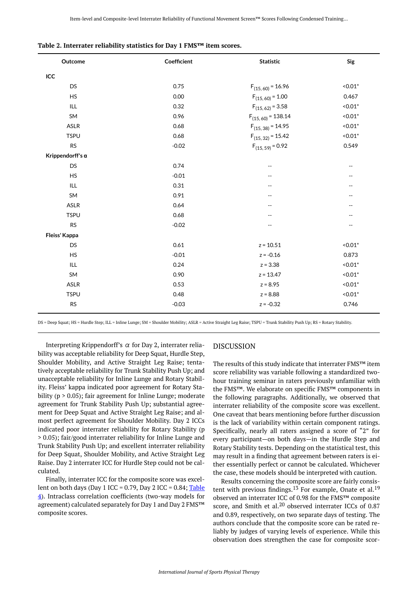| ICC<br><b>DS</b><br>0.75<br>$< 0.01*$<br>$F_{(15,60)} = 16.96$<br><b>HS</b><br>0.00<br>0.467<br>$F_{(15,60)} = 1.00$<br>$< 0.01*$<br><b>ILL</b><br>0.32<br>$F_{(15, 62)} = 3.58$<br>SM<br>0.96<br>$F_{(15,60)} = 138.14$<br>$< 0.01*$<br>ASLR<br>0.68<br>$F_{(15, 38)} = 14.95$<br>$< 0.01*$<br><b>TSPU</b><br>0.68<br>$F_{(15, 32)} = 15.42$<br>$< 0.01*$<br><b>RS</b><br>$F_{(15, 59)} = 0.92$<br>$-0.02$<br>0.549<br>Krippendorff's $\alpha$<br><b>DS</b><br>0.74<br>$\overline{\phantom{m}}$<br>$-\, -$<br><b>HS</b><br>$-0.01$<br>--<br>--<br>ILL<br>0.31<br>$-$<br>--<br>0.91<br>SM<br>--<br>ASLR<br>0.64<br>--<br>--<br><b>TSPU</b><br>0.68<br><b>RS</b><br>$-0.02$<br>--<br>$\overline{\phantom{m}}$<br>Fleiss' Kappa<br><b>DS</b><br>0.61<br>$z = 10.51$<br>$< 0.01*$<br><b>HS</b><br>$-0.01$<br>$z = -0.16$<br>0.873<br>ILL<br>0.24<br>$z = 3.38$<br>$0.01*$<br>SM<br>0.90<br>$< 0.01*$<br>$z = 13.47$<br>$< 0.01*$<br>ASLR<br>0.53<br>$z = 8.95$<br>$< 0.01*$<br><b>TSPU</b><br>0.48<br>$z = 8.88$<br><b>RS</b><br>$-0.03$<br>$z = -0.32$<br>0.746 | Outcome | Coefficient | <b>Statistic</b> | Sig |
|---------------------------------------------------------------------------------------------------------------------------------------------------------------------------------------------------------------------------------------------------------------------------------------------------------------------------------------------------------------------------------------------------------------------------------------------------------------------------------------------------------------------------------------------------------------------------------------------------------------------------------------------------------------------------------------------------------------------------------------------------------------------------------------------------------------------------------------------------------------------------------------------------------------------------------------------------------------------------------------------------------------------------------------------------------------|---------|-------------|------------------|-----|
|                                                                                                                                                                                                                                                                                                                                                                                                                                                                                                                                                                                                                                                                                                                                                                                                                                                                                                                                                                                                                                                               |         |             |                  |     |
|                                                                                                                                                                                                                                                                                                                                                                                                                                                                                                                                                                                                                                                                                                                                                                                                                                                                                                                                                                                                                                                               |         |             |                  |     |
|                                                                                                                                                                                                                                                                                                                                                                                                                                                                                                                                                                                                                                                                                                                                                                                                                                                                                                                                                                                                                                                               |         |             |                  |     |
|                                                                                                                                                                                                                                                                                                                                                                                                                                                                                                                                                                                                                                                                                                                                                                                                                                                                                                                                                                                                                                                               |         |             |                  |     |
|                                                                                                                                                                                                                                                                                                                                                                                                                                                                                                                                                                                                                                                                                                                                                                                                                                                                                                                                                                                                                                                               |         |             |                  |     |
|                                                                                                                                                                                                                                                                                                                                                                                                                                                                                                                                                                                                                                                                                                                                                                                                                                                                                                                                                                                                                                                               |         |             |                  |     |
|                                                                                                                                                                                                                                                                                                                                                                                                                                                                                                                                                                                                                                                                                                                                                                                                                                                                                                                                                                                                                                                               |         |             |                  |     |
|                                                                                                                                                                                                                                                                                                                                                                                                                                                                                                                                                                                                                                                                                                                                                                                                                                                                                                                                                                                                                                                               |         |             |                  |     |
|                                                                                                                                                                                                                                                                                                                                                                                                                                                                                                                                                                                                                                                                                                                                                                                                                                                                                                                                                                                                                                                               |         |             |                  |     |
|                                                                                                                                                                                                                                                                                                                                                                                                                                                                                                                                                                                                                                                                                                                                                                                                                                                                                                                                                                                                                                                               |         |             |                  |     |
|                                                                                                                                                                                                                                                                                                                                                                                                                                                                                                                                                                                                                                                                                                                                                                                                                                                                                                                                                                                                                                                               |         |             |                  |     |
|                                                                                                                                                                                                                                                                                                                                                                                                                                                                                                                                                                                                                                                                                                                                                                                                                                                                                                                                                                                                                                                               |         |             |                  |     |
|                                                                                                                                                                                                                                                                                                                                                                                                                                                                                                                                                                                                                                                                                                                                                                                                                                                                                                                                                                                                                                                               |         |             |                  |     |
|                                                                                                                                                                                                                                                                                                                                                                                                                                                                                                                                                                                                                                                                                                                                                                                                                                                                                                                                                                                                                                                               |         |             |                  |     |
|                                                                                                                                                                                                                                                                                                                                                                                                                                                                                                                                                                                                                                                                                                                                                                                                                                                                                                                                                                                                                                                               |         |             |                  |     |
|                                                                                                                                                                                                                                                                                                                                                                                                                                                                                                                                                                                                                                                                                                                                                                                                                                                                                                                                                                                                                                                               |         |             |                  |     |
|                                                                                                                                                                                                                                                                                                                                                                                                                                                                                                                                                                                                                                                                                                                                                                                                                                                                                                                                                                                                                                                               |         |             |                  |     |
|                                                                                                                                                                                                                                                                                                                                                                                                                                                                                                                                                                                                                                                                                                                                                                                                                                                                                                                                                                                                                                                               |         |             |                  |     |
|                                                                                                                                                                                                                                                                                                                                                                                                                                                                                                                                                                                                                                                                                                                                                                                                                                                                                                                                                                                                                                                               |         |             |                  |     |
|                                                                                                                                                                                                                                                                                                                                                                                                                                                                                                                                                                                                                                                                                                                                                                                                                                                                                                                                                                                                                                                               |         |             |                  |     |
|                                                                                                                                                                                                                                                                                                                                                                                                                                                                                                                                                                                                                                                                                                                                                                                                                                                                                                                                                                                                                                                               |         |             |                  |     |
|                                                                                                                                                                                                                                                                                                                                                                                                                                                                                                                                                                                                                                                                                                                                                                                                                                                                                                                                                                                                                                                               |         |             |                  |     |
|                                                                                                                                                                                                                                                                                                                                                                                                                                                                                                                                                                                                                                                                                                                                                                                                                                                                                                                                                                                                                                                               |         |             |                  |     |
|                                                                                                                                                                                                                                                                                                                                                                                                                                                                                                                                                                                                                                                                                                                                                                                                                                                                                                                                                                                                                                                               |         |             |                  |     |

<span id="page-6-0"></span>

|  |  |  |  |  |  | Table 2. Interrater reliability statistics for Day 1 FMS™ item scores. |
|--|--|--|--|--|--|------------------------------------------------------------------------|
|--|--|--|--|--|--|------------------------------------------------------------------------|

DS = Deep Squat; HS = Hurdle Step; ILL = Inline Lunge; SM = Shoulder Mobility; ASLR = Active Straight Leg Raise; TSPU = Trunk Stability Push Up; RS = Rotary Stability.

Interpreting Krippendorff's  $\alpha$  for Day 2, interrater reliability was acceptable reliability for Deep Squat, Hurdle Step, Shoulder Mobility, and Active Straight Leg Raise; tentatively acceptable reliability for Trunk Stability Push Up; and unacceptable reliability for Inline Lunge and Rotary Stability. Fleiss' kappa indicated poor agreement for Rotary Stability (p > 0.05); fair agreement for Inline Lunge; moderate agreement for Trunk Stability Push Up; substantial agreement for Deep Squat and Active Straight Leg Raise; and almost perfect agreement for Shoulder Mobility. Day 2 ICCs indicated poor interrater reliability for Rotary Stability (p > 0.05); fair/good interrater reliability for Inline Lunge and Trunk Stability Push Up; and excellent interrater reliability for Deep Squat, Shoulder Mobility, and Active Straight Leg Raise. Day 2 interrater ICC for Hurdle Step could not be calculated.

Finally, interrater ICC for the composite score was excellent on both days (Day 1 ICC = 0.79, Day 2 ICC =  $0.84$ ; Table [4\)](#page-7-1). Intraclass correlation coefficients (two-way models for agreement) calculated separately for Day 1 and Day 2 FMS™ composite scores.

#### DISCUSSION

The results of this study indicate that interrater FMS™ item score reliability was variable following a standardized twohour training seminar in raters previously unfamiliar with the FMS™. We elaborate on specific FMS™ components in the following paragraphs. Additionally, we observed that interrater reliability of the composite score was excellent. One caveat that bears mentioning before further discussion is the lack of variability within certain component ratings. Specifically, nearly all raters assigned a score of "2" for every participant—on both days—in the Hurdle Step and Rotary Stability tests. Depending on the statistical test, this may result in a finding that agreement between raters is either essentially perfect or cannot be calculated. Whichever the case, these models should be interpreted with caution.

Results concerning the composite score are fairly consistent with previous findings.<sup>13</sup> For example, Onate et al.<sup>19</sup> observed an interrater ICC of 0.98 for the FMS™ composite score, and Smith et al. $^{20}$  observed interrater ICCs of 0.87 and 0.89, respectively, on two separate days of testing. The authors conclude that the composite score can be rated reliably by judges of varying levels of experience. While this observation does strengthen the case for composite scor-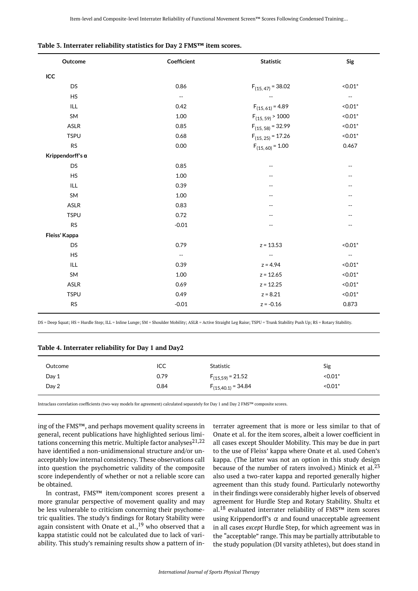| Outcome                 | Coefficient              | <b>Statistic</b>       | Sig                      |
|-------------------------|--------------------------|------------------------|--------------------------|
| ICC                     |                          |                        |                          |
| <b>DS</b>               | 0.86                     | $F_{(15, 47)} = 38.02$ | $0.01*$                  |
| <b>HS</b>               | $\overline{\phantom{m}}$ |                        | $\overline{\phantom{a}}$ |
| ILL.                    | 0.42                     | $F_{(15,61)} = 4.89$   | $0.01*$                  |
| <b>SM</b>               | 1.00                     | $F_{(15, 59)}$ > 1000  | $< 0.01*$                |
| <b>ASLR</b>             | 0.85                     | $F_{(15, 58)} = 32.99$ | $< 0.01*$                |
| <b>TSPU</b>             | 0.68                     | $F_{(15, 25)} = 17.26$ | $< 0.01*$                |
| <b>RS</b>               | 0.00                     | $F_{(15,60)} = 1.00$   | 0.467                    |
| Krippendorff's $\alpha$ |                          |                        |                          |
| <b>DS</b>               | 0.85                     | $-$                    | $\overline{\phantom{a}}$ |
| <b>HS</b>               | $1.00\,$                 | --                     |                          |
| ILL                     | 0.39                     | --                     |                          |
| SM                      | 1.00                     |                        | $-$                      |
| <b>ASLR</b>             | 0.83                     |                        |                          |
| <b>TSPU</b>             | 0.72                     |                        |                          |
| <b>RS</b>               | $-0.01$                  |                        | --                       |
| Fleiss' Kappa           |                          |                        |                          |
| <b>DS</b>               | 0.79                     | $z = 13.53$            | $< 0.01*$                |
| <b>HS</b>               | $- \hspace{0.1em} -$     |                        | $-\, -$                  |
| ILL                     | 0.39                     | $z = 4.94$             | $0.01*$                  |
| SM                      | 1.00                     | $z = 12.65$            | $< 0.01*$                |
| <b>ASLR</b>             | 0.69                     | $z = 12.25$            | $< 0.01*$                |
| <b>TSPU</b>             | 0.49                     | $z = 8.21$             | $0.01*$                  |
| <b>RS</b>               | $-0.01$                  | $z = -0.16$            | 0.873                    |

<span id="page-7-0"></span>

|  |  |  |  |  |  | Table 3. Interrater reliability statistics for Day 2 FMS™ item scores. |
|--|--|--|--|--|--|------------------------------------------------------------------------|
|--|--|--|--|--|--|------------------------------------------------------------------------|

DS = Deep Squat; HS = Hurdle Step; ILL = Inline Lunge; SM = Shoulder Mobility; ASLR = Active Straight Leg Raise; TSPU = Trunk Stability Push Up; RS = Rotary Stability.

#### <span id="page-7-1"></span>**Table 4. Interrater reliability for Day 1 and Day2**

| Outcome | ICC  | Statistic               | Sig       |  |
|---------|------|-------------------------|-----------|--|
| Day 1   | 0.79 | $F_{(15,59)} = 21.52$   | $0.01*$   |  |
| Day 2   | 0.84 | $F_{(15,40.1)} = 34.84$ | $< 0.01*$ |  |

Intraclass correlation coefficients (two-way models for agreement) calculated separately for Day 1 and Day 2 FMS™ composite scores.

ing of the FMS™, and perhaps movement quality screens in general, recent publications have highlighted serious limitations concerning this metric. Multiple factor analyses $21,22$ have identified a non-unidimensional structure and/or unacceptably low internal consistency. These observations call into question the psychometric validity of the composite score independently of whether or not a reliable score can be obtained.

In contrast, FMS™ item/component scores present a more granular perspective of movement quality and may be less vulnerable to criticism concerning their psychometric qualities. The study's findings for Rotary Stability were again consistent with Onate et al.,  $^{19}$  who observed that a kappa statistic could not be calculated due to lack of variability. This study's remaining results show a pattern of interrater agreement that is more or less similar to that of Onate et al. for the item scores, albeit a lower coefficient in all cases except Shoulder Mobility. This may be due in part to the use of Fleiss' kappa where Onate et al. used Cohen's kappa. (The latter was not an option in this study design because of the number of raters involved.) Minick et al. $23$ also used a two-rater kappa and reported generally higher agreement than this study found. Particularly noteworthy in their findings were considerably higher levels of observed agreement for Hurdle Step and Rotary Stability. Shultz et al.<sup>18</sup> evaluated interrater reliability of FMS™ item scores using Krippendorff's  $\alpha$  and found unacceptable agreement in all cases *except* Hurdle Step, for which agreement was in the "acceptable" range. This may be partially attributable to the study population (DI varsity athletes), but does stand in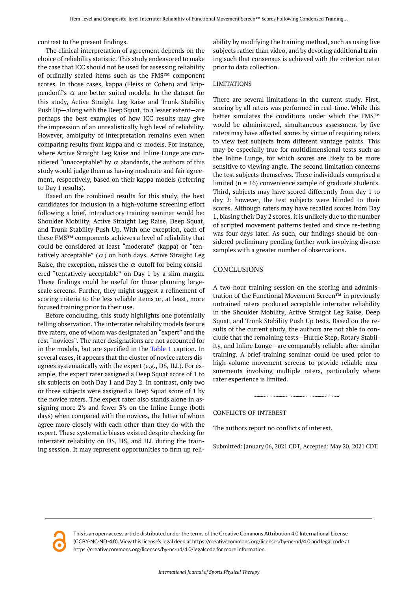contrast to the present findings.

The clinical interpretation of agreement depends on the choice of reliability statistic. This study endeavored to make the case that ICC should not be used for assessing reliability of ordinally scaled items such as the FMS™ component scores. In those cases, kappa (Fleiss or Cohen) and Krippendorff's  $\alpha$  are better suited models. In the dataset for this study, Active Straight Leg Raise and Trunk Stability Push Up—along with the Deep Squat, to a lesser extent—are perhaps the best examples of how ICC results may give the impression of an unrealistically high level of reliability. However, ambiguity of interpretation remains even when comparing results from kappa and  $\alpha$  models. For instance, where Active Straight Leg Raise and Inline Lunge are considered "unacceptable" by  $\alpha$  standards, the authors of this study would judge them as having moderate and fair agreement, respectively, based on their kappa models (referring to Day 1 results).

Based on the combined results for this study, the best candidates for inclusion in a high-volume screening effort following a brief, introductory training seminar would be: Shoulder Mobility, Active Straight Leg Raise, Deep Squat, and Trunk Stability Push Up. With one exception, each of these FMS™ components achieves a level of reliability that could be considered at least "moderate" (kappa) or "tentatively acceptable"  $(\alpha)$  on both days. Active Straight Leg Raise, the exception, misses the  $\alpha$  cutoff for being considered "tentatively acceptable" on Day 1 by a slim margin. These findings could be useful for those planning largescale screens. Further, they might suggest a refinement of scoring criteria to the less reliable items or, at least, more focused training prior to their use.

Before concluding, this study highlights one potentially telling observation. The interrater reliability models feature five raters, one of whom was designated an "expert" and the rest "novices". The rater designations are not accounted for in the models, but are specified in the [Table 1](#page-5-0) caption. In several cases, it appears that the cluster of novice raters disagrees systematically with the expert (e.g., DS, ILL). For example, the expert rater assigned a Deep Squat score of 1 to six subjects on both Day 1 and Day 2. In contrast, only two or three subjects were assigned a Deep Squat score of 1 by the novice raters. The expert rater also stands alone in assigning more 2's and fewer 3's on the Inline Lunge (both days) when compared with the novices, the latter of whom agree more closely with each other than they do with the expert. These systematic biases existed despite checking for interrater reliability on DS, HS, and ILL during the training session. It may represent opportunities to firm up reliability by modifying the training method, such as using live subjects rather than video, and by devoting additional training such that consensus is achieved with the criterion rater prior to data collection.

#### LIMITATIONS

There are several limitations in the current study. First, scoring by all raters was performed in real-time. While this better simulates the conditions under which the FMS™ would be administered, simultaneous assessment by five raters may have affected scores by virtue of requiring raters to view test subjects from different vantage points. This may be especially true for multidimensional tests such as the Inline Lunge, for which scores are likely to be more sensitive to viewing angle. The second limitation concerns the test subjects themselves. These individuals comprised a limited ( $n = 16$ ) convenience sample of graduate students. Third, subjects may have scored differently from day 1 to day 2; however, the test subjects were blinded to their scores. Although raters may have recalled scores from Day 1, biasing their Day 2 scores, it is unlikely due to the number of scripted movement patterns tested and since re-testing was four days later. As such, our findings should be considered preliminary pending further work involving diverse samples with a greater number of observations.

#### CONCLUSIONS

A two-hour training session on the scoring and administration of the Functional Movement Screen™ in previously untrained raters produced acceptable interrater reliability in the Shoulder Mobility, Active Straight Leg Raise, Deep Squat, and Trunk Stability Push Up tests. Based on the results of the current study, the authors are not able to conclude that the remaining tests—Hurdle Step, Rotary Stability, and Inline Lunge—are comparably reliable after similar training. A brief training seminar could be used prior to high-volume movement screens to provide reliable measurements involving multiple raters, particularly where rater experience is limited.

#### CONFLICTS OF INTEREST

The authors report no conflicts of interest.

Submitted: January 06, 2021 CDT, Accepted: May 20, 2021 CDT



This is an open-access article distributed under the terms of the Creative Commons Attribution 4.0 International License (CCBY-NC-ND-4.0). View this license's legal deed at https://creativecommons.org/licenses/by-nc-nd/4.0 and legal code at https://creativecommons.org/licenses/by-nc-nd/4.0/legalcode for more information.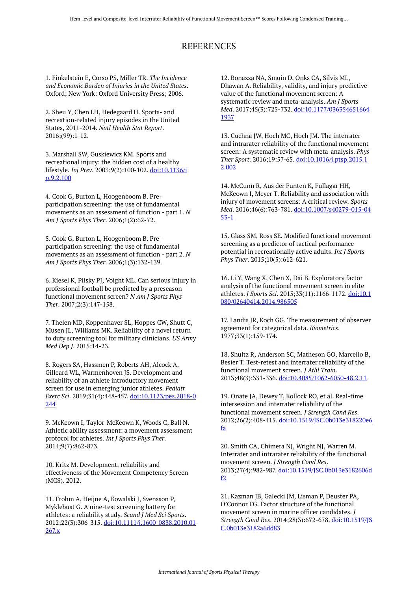## REFERENCES

1. Finkelstein E, Corso PS, Miller TR. *The Incidence and Economic Burden of Injuries in the United States*. Oxford; New York: Oxford University Press; 2006.

2. Sheu Y, Chen LH, Hedegaard H. Sports- and recreation-related injury episodes in the United States, 2011-2014. *Natl Health Stat Report*. 2016;(99):1-12.

3. Marshall SW, Guskiewicz KM. Sports and recreational injury: the hidden cost of a healthy lifestyle. *Inj Prev*. 2003;9(2):100-102. [doi:10.1136/i](https://doi.org/10.1136/ip.9.2.100) [p.9.2.100](https://doi.org/10.1136/ip.9.2.100)

4. Cook G, Burton L, Hoogenboom B. Preparticipation screening: the use of fundamental movements as an assessment of function - part 1. *N Am J Sports Phys Ther*. 2006;1(2):62-72.

5. Cook G, Burton L, Hoogenboom B. Preparticipation screening: the use of fundamental movements as an assessment of function - part 2. *N Am J Sports Phys Ther*. 2006;1(3):132-139.

6. Kiesel K, Plisky PJ, Voight ML. Can serious injury in professional football be predicted by a preseason functional movement screen? *N Am J Sports Phys Ther*. 2007;2(3):147-158.

7. Thelen MD, Koppenhaver SL, Hoppes CW, Shutt C, Musen JL, Williams MK. Reliability of a novel return to duty screening tool for military clinicians. *US Army Med Dep J*. 2015:14-23.

8. Rogers SA, Hassmen P, Roberts AH, Alcock A, Gilleard WL, Warmenhoven JS. Development and reliability of an athlete introductory movement screen for use in emerging junior athletes. *Pediatr Exerc Sci*. 2019;31(4):448-457. [doi:10.1123/pes.2018-0](https://doi.org/10.1123/pes.2018-0244) [244](https://doi.org/10.1123/pes.2018-0244)

9. McKeown I, Taylor-McKeown K, Woods C, Ball N. Athletic ability assessment: a movement assessment protocol for athletes. *Int J Sports Phys Ther*. 2014;9(7):862-873.

10. Kritz M. Development, reliability and effectiveness of the Movement Competency Screen (MCS). 2012.

11. Frohm A, Heijne A, Kowalski J, Svensson P, Myklebust G. A nine-test screening battery for athletes: a reliability study. *Scand J Med Sci Sports*. 2012;22(3):306-315. [doi:10.1111/j.1600-0838.2010.01](https://doi.org/10.1111/j.1600-0838.2010.01267.x) [267.x](https://doi.org/10.1111/j.1600-0838.2010.01267.x)

12. Bonazza NA, Smuin D, Onks CA, Silvis ML, Dhawan A. Reliability, validity, and injury predictive value of the functional movement screen: A systematic review and meta-analysis. *Am J Sports Med*. 2017;45(3):725-732. [doi:10.1177/036354651664](https://doi.org/10.1177/0363546516641937) [1937](https://doi.org/10.1177/0363546516641937) 

13. Cuchna JW, Hoch MC, Hoch JM. The interrater and intrarater reliability of the functional movement screen: A systematic review with meta-analysis. *Phys Ther Sport*. 2016;19:57-65. [doi:10.1016/j.ptsp.2015.1](https://doi.org/10.1016/j.ptsp.2015.12.002) [2.002](https://doi.org/10.1016/j.ptsp.2015.12.002)

14. McCunn R, Aus der Funten K, Fullagar HH, McKeown I, Meyer T. Reliability and association with injury of movement screens: A critical review. *Sports Med*. 2016;46(6):763-781. [doi:10.1007/s40279-015-04](https://doi.org/10.1007/s40279-015-0453-1) [53-1](https://doi.org/10.1007/s40279-015-0453-1) 

15. Glass SM, Ross SE. Modified functional movement screening as a predictor of tactical performance potential in recreationally active adults. *Int J Sports Phys Ther*. 2015;10(5):612-621.

16. Li Y, Wang X, Chen X, Dai B. Exploratory factor analysis of the functional movement screen in elite athletes. *J Sports Sci*. 2015;33(11):1166-1172. [doi:10.1](https://doi.org/10.1080/02640414.2014.986505) [080/02640414.2014.986505](https://doi.org/10.1080/02640414.2014.986505)

17. Landis JR, Koch GG. The measurement of observer agreement for categorical data. *Biometrics*. 1977;33(1):159-174.

18. Shultz R, Anderson SC, Matheson GO, Marcello B, Besier T. Test-retest and interrater reliability of the functional movement screen. *J Athl Train*. 2013;48(3):331-336. [doi:10.4085/1062-6050-48.2.11](https://doi.org/10.4085/1062-6050-48.2.11)

19. Onate JA, Dewey T, Kollock RO, et al. Real-time intersession and interrater reliability of the functional movement screen. *J Strength Cond Res*. 2012;26(2):408-415. [doi:10.1519/JSC.0b013e318220e6](https://doi.org/10.1519/JSC.0b013e318220e6fa) [fa](https://doi.org/10.1519/JSC.0b013e318220e6fa)

20. Smith CA, Chimera NJ, Wright NJ, Warren M. Interrater and intrarater reliability of the functional movement screen. *J Strength Cond Res*. 2013;27(4):982-987. [doi:10.1519/JSC.0b013e3182606d](https://doi.org/10.1519/JSC.0b013e3182606df2) [f2](https://doi.org/10.1519/JSC.0b013e3182606df2)

21. Kazman JB, Galecki JM, Lisman P, Deuster PA, O'Connor FG. Factor structure of the functional movement screen in marine officer candidates. *J Strength Cond Res*. 2014;28(3):672-678. [doi:10.1519/JS](https://doi.org/10.1519/JSC.0b013e3182a6dd83) [C.0b013e3182a6dd83](https://doi.org/10.1519/JSC.0b013e3182a6dd83)